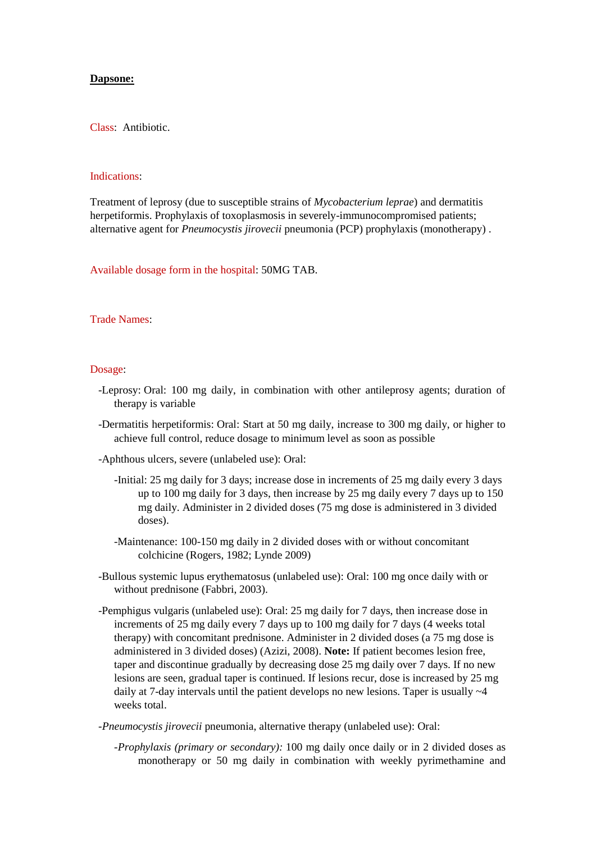## **Dapsone:**

Class: Antibiotic.

## Indications:

Treatment of leprosy (due to susceptible strains of *Mycobacterium leprae*) and dermatitis herpetiformis. Prophylaxis of toxoplasmosis in severely-immunocompromised patients; alternative agent for *Pneumocystis jirovecii* pneumonia (PCP) prophylaxis (monotherapy) .

Available dosage form in the hospital: 50MG TAB.

## Trade Names:

## Dosage:

- -Leprosy: Oral: 100 mg daily, in combination with other antileprosy agents; duration of therapy is variable
- -Dermatitis herpetiformis: Oral: Start at 50 mg daily, increase to 300 mg daily, or higher to achieve full control, reduce dosage to minimum level as soon as possible
- -Aphthous ulcers, severe (unlabeled use): Oral:
	- -Initial: 25 mg daily for 3 days; increase dose in increments of 25 mg daily every 3 days up to 100 mg daily for 3 days, then increase by 25 mg daily every 7 days up to 150 mg daily. Administer in 2 divided doses (75 mg dose is administered in 3 divided doses).
	- -Maintenance: 100-150 mg daily in 2 divided doses with or without concomitant colchicine (Rogers, 1982; Lynde 2009)
- -Bullous systemic lupus erythematosus (unlabeled use): Oral: 100 mg once daily with or without prednisone (Fabbri, 2003).
- -Pemphigus vulgaris (unlabeled use): Oral: 25 mg daily for 7 days, then increase dose in increments of 25 mg daily every 7 days up to 100 mg daily for 7 days (4 weeks total therapy) with concomitant prednisone. Administer in 2 divided doses (a 75 mg dose is administered in 3 divided doses) (Azizi, 2008). **Note:** If patient becomes lesion free, taper and discontinue gradually by decreasing dose 25 mg daily over 7 days. If no new lesions are seen, gradual taper is continued. If lesions recur, dose is increased by 25 mg daily at 7-day intervals until the patient develops no new lesions. Taper is usually  $\sim$ 4 weeks total.
- *-Pneumocystis jirovecii* pneumonia, alternative therapy (unlabeled use): Oral:
	- *-Prophylaxis (primary or secondary):* 100 mg daily once daily or in 2 divided doses as monotherapy or 50 mg daily in combination with weekly pyrimethamine and